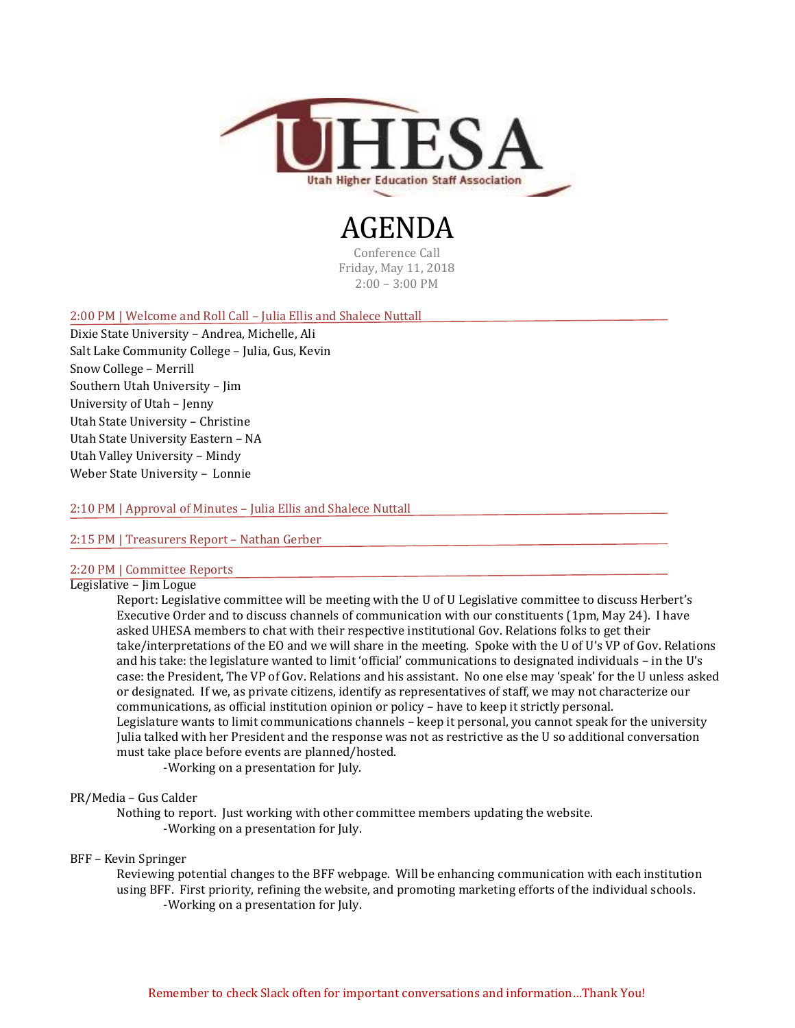

# AGENDA

Conference Call Friday, May 11, 2018 2:00 – 3:00 PM

#### 2:00 PM | Welcome and Roll Call – Julia Ellis and Shalece Nuttall

Dixie State University – Andrea, Michelle, Ali Salt Lake Community College – Julia, Gus, Kevin Snow College – Merrill Southern Utah University – Jim University of Utah – Jenny Utah State University – Christine Utah State University Eastern – NA Utah Valley University – Mindy Weber State University – Lonnie

2:10 PM | Approval of Minutes – Julia Ellis and Shalece Nuttall

## 2:15 PM | Treasurers Report – Nathan Gerber

# 2:20 PM | Committee Reports

# Legislative – Jim Logue

Report: Legislative committee will be meeting with the U of U Legislative committee to discuss Herbert's Executive Order and to discuss channels of communication with our constituents (1pm, May 24). I have asked UHESA members to chat with their respective institutional Gov. Relations folks to get their take/interpretations of the EO and we will share in the meeting. Spoke with the U of U's VP of Gov. Relations and his take: the legislature wanted to limit 'official' communications to designated individuals – in the U's case: the President, The VP of Gov. Relations and his assistant. No one else may 'speak' for the U unless asked or designated. If we, as private citizens, identify as representatives of staff, we may not characterize our communications, as official institution opinion or policy – have to keep it strictly personal. Legislature wants to limit communications channels – keep it personal, you cannot speak for the university Julia talked with her President and the response was not as restrictive as the U so additional conversation must take place before events are planned/hosted.

-Working on a presentation for July.

#### PR/Media – Gus Calder

Nothing to report. Just working with other committee members updating the website. -Working on a presentation for July.

#### BFF – Kevin Springer

Reviewing potential changes to the BFF webpage. Will be enhancing communication with each institution using BFF. First priority, refining the website, and promoting marketing efforts of the individual schools. -Working on a presentation for July.